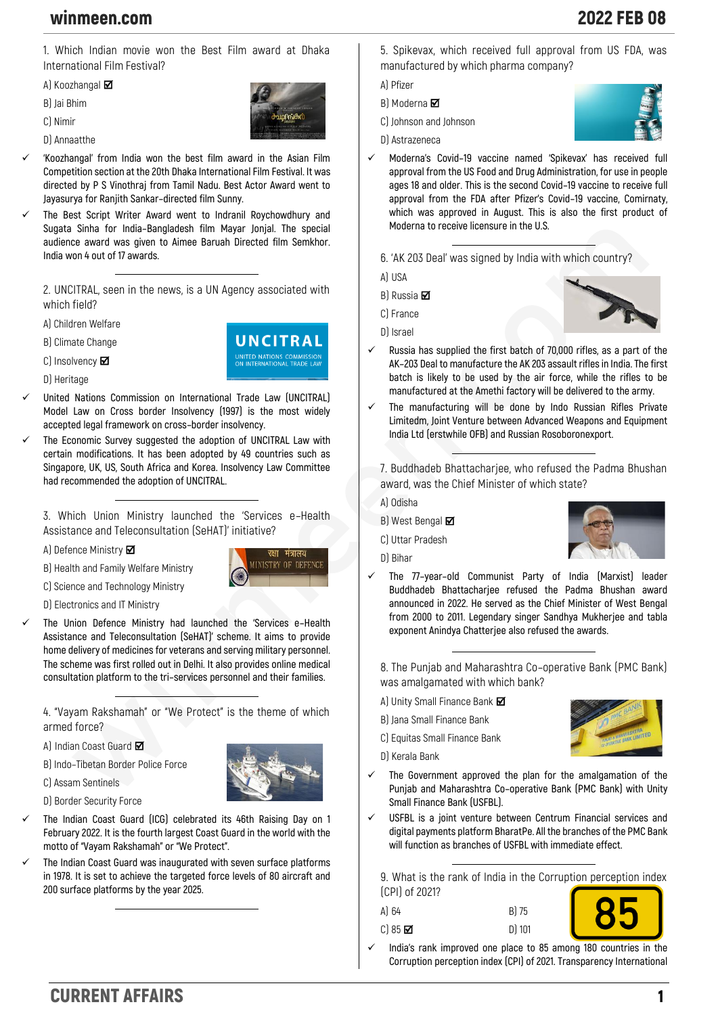## winmeen.com 2022 FEB 08

**1. Which Indian movie won the Best Film award at Dhaka International Film Festival?**

**A) Koozhangal** 

**B) Jai Bhim**

**C) Nimir**

**D) Annaatthe**



**UNCITRAL** 

**MINISTRY OF DEFENCE** 

✓ **'Koozhangal' from India won the best film award in the Asian Film Competition section at the 20th Dhaka International Film Festival. It was directed by P S Vinothraj from Tamil Nadu. Best Actor Award went to Jayasurya for Ranjith Sankar–directed film Sunny.**

✓ **The Best Script Writer Award went to Indranil Roychowdhury and Sugata Sinha for India–Bangladesh film Mayar Jonjal. The special audience award was given to Aimee Baruah Directed film Semkhor. India won 4 out of 17 awards.**

**2. UNCITRAL, seen in the news, is a UN Agency associated with which field?**

**A) Children Welfare**

**B) Climate Change**

**C) Insolvency**

**D) Heritage**

✓ **United Nations Commission on International Trade Law (UNCITRAL) Model Law on Cross border Insolvency (1997) is the most widely accepted legal framework on cross–border insolvency.**

The Economic Survey suggested the adoption of UNCITRAL Law with **certain modifications. It has been adopted by 49 countries such as Singapore, UK, US, South Africa and Korea. Insolvency Law Committee had recommended the adoption of UNCITRAL.**

**3. Which Union Ministry launched the 'Services e–Health Assistance and Teleconsultation (SeHAT)' initiative?**

**A) Defence Ministry** 

**B) Health and Family Welfare Ministry**

**C) Science and Technology Ministry**

**D) Electronics and IT Ministry**

✓ **The Union Defence Ministry had launched the 'Services e–Health Assistance and Teleconsultation (SeHAT)' scheme. It aims to provide home delivery of medicines for veterans and serving military personnel. The scheme was first rolled out in Delhi. It also provides online medical consultation platform to the tri–services personnel and their families.**

**4. "Vayam Rakshamah" or "We Protect" is the theme of which armed force?**

**A) Indian Coast Guard** 

**B) Indo–Tibetan Border Police Force**

**C) Assam Sentinels**



- The Indian Coast Guard (ICG) celebrated its 46th Raising Day on 1 **February 2022. It is the fourth largest Coast Guard in the world with the motto of "Vayam Rakshamah" or "We Protect".**
- ✓ **The Indian Coast Guard was inaugurated with seven surface platforms in 1978. It is set to achieve the targeted force levels of 80 aircraft and 200 surface platforms by the year 2025.**

**5. Spikevax, which received full approval from US FDA, was manufactured by which pharma company?**

**A) Pfizer**

- **B) Moderna**
- **C) Johnson and Johnson**
- **D) Astrazeneca**
- ✓ **Moderna's Covid–19 vaccine named 'Spikevax' has received full approval from the US Food and Drug Administration, for use in people ages 18 and older. This is the second Covid–19 vaccine to receive full approval from the FDA after Pfizer's Covid–19 vaccine, Comirnaty, which was approved in August. This is also the first product of Moderna to receive licensure in the U.S.**

**6. 'AK 203 Deal' was signed by India with which country?**

**A) USA**

- **B) Russia**
- **C) France**
- **D) Israel**



- ✓ **Russia has supplied the first batch of 70,000 rifles, as a part of the AK–203 Deal to manufacture the AK 203 assault rifles in India. The first batch is likely to be used by the air force, while the rifles to be manufactured at the Amethi factory will be delivered to the army.**
- ✓ **The manufacturing will be done by Indo Russian Rifles Private Limitedm, Joint Venture between Advanced Weapons and Equipment India Ltd (erstwhile OFB) and Russian Rosoboronexport.**

**7. Buddhadeb Bhattacharjee, who refused the Padma Bhushan award, was the Chief Minister of which state?**

**A) Odisha**

**B) West Bengal** 

**C) Uttar Pradesh**



✓ **The 77–year–old Communist Party of India (Marxist) leader Buddhadeb Bhattacharjee refused the Padma Bhushan award announced in 2022. He served as the Chief Minister of West Bengal from 2000 to 2011. Legendary singer Sandhya Mukherjee and tabla exponent Anindya Chatterjee also refused the awards.**

**8. The Punjab and Maharashtra Co–operative Bank (PMC Bank) was amalgamated with which bank?**

- **A) Unity Small Finance Bank**
- **B) Jana Small Finance Bank**
- **C) Equitas Small Finance Bank**
- **D) Kerala Bank**



- ✓ **The Government approved the plan for the amalgamation of the Punjab and Maharashtra Co–operative Bank (PMC Bank) with Unity Small Finance Bank (USFBL).**
- ✓ **USFBL is a joint venture between Centrum Financial services and digital payments platform BharatPe. All the branches of the PMC Bank will function as branches of USFBL with immediate effect.**

**9. What is the rank of India in the Corruption perception index (CPI) of 2021?**

| A) 64                   | B) 75    |  |
|-------------------------|----------|--|
| $C$ ) 85 $\blacksquare$ | $D)$ 101 |  |

✓ **India's rank improved one place to 85 among 180 countries in the Corruption perception index (CPI) of 2021. Transparency International**